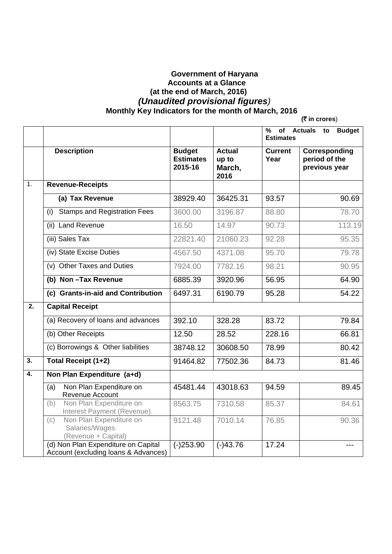## **Government of Haryana Accounts at a Glance (at the end of March, 2016)**   *(Unaudited provisional figures)*   **Monthly Key Indicators for the month of March, 2016 (**` **in crores**)

|                           |                                                                             |                                              |                                          | %<br>of Actuals<br><b>Budget</b><br>to<br><b>Estimates</b> |                                                 |  |  |  |  |
|---------------------------|-----------------------------------------------------------------------------|----------------------------------------------|------------------------------------------|------------------------------------------------------------|-------------------------------------------------|--|--|--|--|
|                           | <b>Description</b>                                                          | <b>Budget</b><br><b>Estimates</b><br>2015-16 | <b>Actual</b><br>up to<br>March,<br>2016 | <b>Current</b><br>Year                                     | Corresponding<br>period of the<br>previous year |  |  |  |  |
| $\overline{1}$ .          | <b>Revenue-Receipts</b>                                                     |                                              |                                          |                                                            |                                                 |  |  |  |  |
|                           | (a) Tax Revenue                                                             | 38929.40                                     | 36425.31                                 | 93.57                                                      | 90.69                                           |  |  |  |  |
|                           | <b>Stamps and Registration Fees</b><br>(i)                                  | 3600.00                                      | 3196.87                                  | 88.80                                                      | 78.70                                           |  |  |  |  |
|                           | (ii) Land Revenue                                                           | 16.50                                        | 14.97                                    | 90.73                                                      | 113.19                                          |  |  |  |  |
|                           | (iii) Sales Tax                                                             | 22821.40                                     | 21060.23                                 | 92.28                                                      | 95.35                                           |  |  |  |  |
|                           | (iv) State Excise Duties                                                    | 4567.50                                      | 4371.08                                  | 95.70                                                      | 79.78                                           |  |  |  |  |
|                           | (v) Other Taxes and Duties                                                  | 7924.00                                      | 7782.16                                  | 98.21                                                      | 90.95                                           |  |  |  |  |
|                           | (b) Non-Tax Revenue                                                         | 6885.39                                      | 3920.96                                  | 56.95                                                      | 64.90                                           |  |  |  |  |
|                           | (c) Grants-in-aid and Contribution                                          | 6497.31                                      | 6190.79                                  | 95.28                                                      | 54.22                                           |  |  |  |  |
| $\overline{2}$ .          | <b>Capital Receipt</b>                                                      |                                              |                                          |                                                            |                                                 |  |  |  |  |
|                           | (a) Recovery of loans and advances                                          | 392.10                                       | 328.28                                   | 83.72                                                      | 79.84                                           |  |  |  |  |
|                           | (b) Other Receipts                                                          | 12.50                                        | 28.52                                    | 228.16                                                     | 66.81                                           |  |  |  |  |
|                           | (c) Borrowings & Other liabilities                                          | 38748.12                                     | 30608.50                                 | 78.99                                                      | 80.42                                           |  |  |  |  |
| $\overline{\mathbf{3}}$ . | <b>Total Receipt (1+2)</b>                                                  | 91464.82                                     | 77502.36                                 | 84.73                                                      | 81.46                                           |  |  |  |  |
| 4.                        | Non Plan Expenditure (a+d)                                                  |                                              |                                          |                                                            |                                                 |  |  |  |  |
|                           | Non Plan Expenditure on<br>(a)<br>Revenue Account                           | 45481.44                                     | 43018.63                                 | 94.59                                                      | 89.45                                           |  |  |  |  |
|                           | Non Plan Expenditure on<br>(b)<br>Interest Payment (Revenue)                | 8563.75                                      | 7310.58                                  | 85.37                                                      | 84.61                                           |  |  |  |  |
|                           | Non Plan Expenditure on<br>(c)<br>Salaries/Wages<br>(Revenue + Capital)     | 9121.48                                      | 7010.14                                  | 76.85                                                      | 90.36                                           |  |  |  |  |
|                           | (d) Non Plan Expenditure on Capital<br>Account (excluding loans & Advances) | $(-)253.90$                                  | $(-)43.76$                               | 17.24                                                      |                                                 |  |  |  |  |